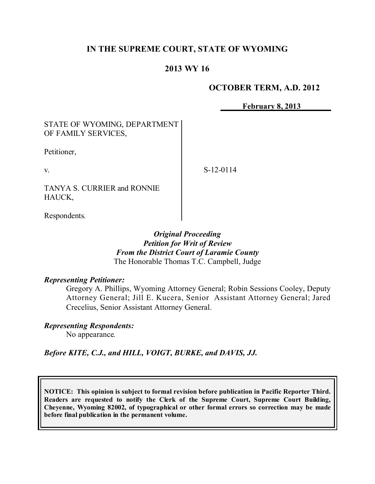# **IN THE SUPREME COURT, STATE OF WYOMING**

# **2013 WY 16**

#### **OCTOBER TERM, A.D. 2012**

**February 8, 2013**

#### STATE OF WYOMING, DEPARTMENT OF FAMILY SERVICES,

Petitioner,

v.

S-12-0114

TANYA S. CURRIER and RONNIE HAUCK,

Respondents.

#### *Original Proceeding Petition for Writ of Review From the District Court of Laramie County* The Honorable Thomas T.C. Campbell, Judge

### *Representing Petitioner:*

Gregory A. Phillips, Wyoming Attorney General; Robin Sessions Cooley, Deputy Attorney General; Jill E. Kucera, Senior Assistant Attorney General; Jared Crecelius, Senior Assistant Attorney General.

### *Representing Respondents:*

No appearance*.*

*Before KITE, C.J., and HILL, VOIGT, BURKE, and DAVIS, JJ.*

**NOTICE: This opinion is subject to formal revision before publication in Pacific Reporter Third. Readers are requested to notify the Clerk of the Supreme Court, Supreme Court Building, Cheyenne, Wyoming 82002, of typographical or other formal errors so correction may be made before final publication in the permanent volume.**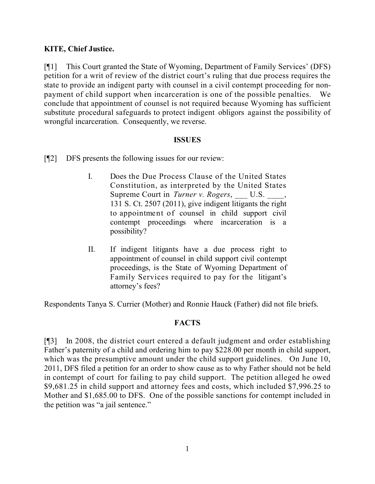# **KITE, Chief Justice.**

[¶1] This Court granted the State of Wyoming, Department of Family Services' (DFS) petition for a writ of review of the district court's ruling that due process requires the state to provide an indigent party with counsel in a civil contempt proceeding for nonpayment of child support when incarceration is one of the possible penalties. We conclude that appointment of counsel is not required because Wyoming has sufficient substitute procedural safeguards to protect indigent obligors against the possibility of wrongful incarceration. Consequently, we reverse.

#### **ISSUES**

- [¶2] DFS presents the following issues for our review:
	- I. Does the Due Process Clause of the United States Constitution, as interpreted by the United States Supreme Court in *Turner v. Rogers*, U.S.  $\qquad,$ 131 S. Ct. 2507 (2011), give indigent litigants the right to appointment of counsel in child support civil contempt proceedings where incarceration is a possibility?
	- II. If indigent litigants have a due process right to appointment of counsel in child support civil contempt proceedings, is the State of Wyoming Department of Family Services required to pay for the litigant's attorney's fees?

Respondents Tanya S. Currier (Mother) and Ronnie Hauck (Father) did not file briefs.

### **FACTS**

[¶3] In 2008, the district court entered a default judgment and order establishing Father's paternity of a child and ordering him to pay \$228.00 per month in child support, which was the presumptive amount under the child support guidelines. On June 10, 2011, DFS filed a petition for an order to show cause as to why Father should not be held in contempt of court for failing to pay child support. The petition alleged he owed \$9,681.25 in child support and attorney fees and costs, which included \$7,996.25 to Mother and \$1,685.00 to DFS. One of the possible sanctions for contempt included in the petition was "a jail sentence."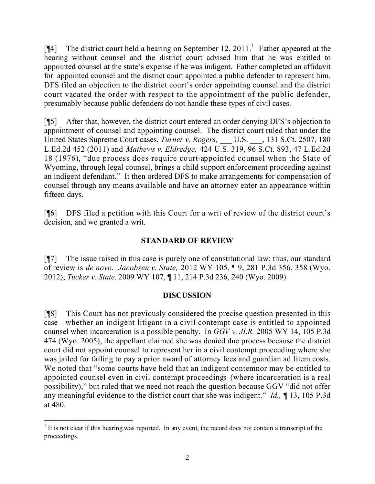[ $[$ 4] The district court held a hearing on September 12, 2011.<sup>1</sup> Father appeared at the hearing without counsel and the district court advised him that he was entitled to appointed counsel at the state's expense if he was indigent. Father completed an affidavit for appointed counsel and the district court appointed a public defender to represent him. DFS filed an objection to the district court's order appointing counsel and the district court vacated the order with respect to the appointment of the public defender, presumably because public defenders do not handle these types of civil cases.

[¶5] After that, however, the district court entered an order denying DFS's objection to appointment of counsel and appointing counsel. The district court ruled that under the United States Supreme Court cases, *Turner v. Rogers,* \_\_\_ U.S. \_\_\_, 131 S.Ct. 2507, 180 L.Ed.2d 452 (2011) and *Mathews v. Eldredge,* 424 U.S. 319, 96 S.Ct. 893, 47 L.Ed.2d 18 (1976), "due process does require court-appointed counsel when the State of Wyoming, through legal counsel, brings a child support enforcement proceeding against an indigent defendant." It then ordered DFS to make arrangements for compensation of counsel through any means available and have an attorney enter an appearance within fifteen days.

[¶6] DFS filed a petition with this Court for a writ of review of the district court's decision, and we granted a writ.

# **STANDARD OF REVIEW**

[¶7] The issue raised in this case is purely one of constitutional law; thus, our standard of review is *de novo. Jacobsen v. State,* 2012 WY 105, ¶ 9, 281 P.3d 356, 358 (Wyo. 2012); *Tucker v. State,* 2009 WY 107, ¶ 11, 214 P.3d 236, 240 (Wyo. 2009).

### **DISCUSSION**

[¶8] This Court has not previously considered the precise question presented in this case—whether an indigent litigant in a civil contempt case is entitled to appointed counsel when incarceration is a possible penalty. In *GGV v. JLR,* 2005 WY 14, 105 P.3d 474 (Wyo. 2005), the appellant claimed she was denied due process because the district court did not appoint counsel to represent her in a civil contempt proceeding where she was jailed for failing to pay a prior award of attorney fees and guardian ad litem costs. We noted that "some courts have held that an indigent contemnor may be entitled to appointed counsel even in civil contempt proceedings (where incarceration is a real possibility)," but ruled that we need not reach the question because GGV "did not offer any meaningful evidence to the district court that she was indigent." *Id.,* ¶ 13, 105 P.3d at 480.

 $\overline{a}$ 

 $<sup>1</sup>$  It is not clear if this hearing was reported. In any event, the record does not contain a transcript of the</sup> proceedings.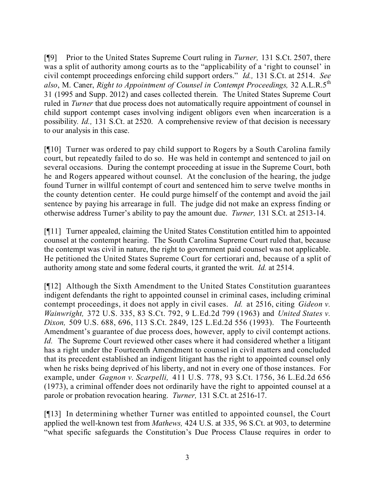[¶9] Prior to the United States Supreme Court ruling in *Turner,* 131 S.Ct. 2507, there was a split of authority among courts as to the "applicability of a 'right to counsel' in civil contempt proceedings enforcing child support orders." *Id.,* 131 S.Ct. at 2514. *See also*, M. Caner, *Right to Appointment of Counsel in Contempt Proceedings,* 32 A.L.R.5 th 31 (1995 and Supp. 2012) and cases collected therein. The United States Supreme Court ruled in *Turner* that due process does not automatically require appointment of counsel in child support contempt cases involving indigent obligors even when incarceration is a possibility*. Id.,* 131 S.Ct. at 2520. A comprehensive review of that decision is necessary to our analysis in this case.

[¶10] Turner was ordered to pay child support to Rogers by a South Carolina family court, but repeatedly failed to do so. He was held in contempt and sentenced to jail on several occasions. During the contempt proceeding at issue in the Supreme Court, both he and Rogers appeared without counsel. At the conclusion of the hearing, the judge found Turner in willful contempt of court and sentenced him to serve twelve months in the county detention center. He could purge himself of the contempt and avoid the jail sentence by paying his arrearage in full. The judge did not make an express finding or otherwise address Turner's ability to pay the amount due. *Turner,* 131 S.Ct. at 2513-14.

[¶11] Turner appealed, claiming the United States Constitution entitled him to appointed counsel at the contempt hearing. The South Carolina Supreme Court ruled that, because the contempt was civil in nature, the right to government paid counsel was not applicable. He petitioned the United States Supreme Court for certiorari and, because of a split of authority among state and some federal courts, it granted the writ. *Id.* at 2514.

[¶12] Although the Sixth Amendment to the United States Constitution guarantees indigent defendants the right to appointed counsel in criminal cases, including criminal contempt proceedings, it does not apply in civil cases. *Id.* at 2516, citing *Gideon v. Wainwright,* 372 U.S. 335, 83 S.Ct. 792, 9 L.Ed.2d 799 (1963) and *United States v. Dixon,* 509 U.S. 688, 696, 113 S.Ct. 2849, 125 L.Ed.2d 556 (1993). The Fourteenth Amendment's guarantee of due process does, however, apply to civil contempt actions. *Id.* The Supreme Court reviewed other cases where it had considered whether a litigant has a right under the Fourteenth Amendment to counsel in civil matters and concluded that its precedent established an indigent litigant has the right to appointed counsel only when he risks being deprived of his liberty, and not in every one of those instances. For example, under *Gagnon v. Scarpelli,* 411 U.S. 778, 93 S.Ct. 1756, 36 L.Ed.2d 656 (1973), a criminal offender does not ordinarily have the right to appointed counsel at a parole or probation revocation hearing. *Turner,* 131 S.Ct. at 2516-17.

[¶13] In determining whether Turner was entitled to appointed counsel, the Court applied the well-known test from *Mathews,* 424 U.S. at 335, 96 S.Ct. at 903, to determine "what specific safeguards the Constitution's Due Process Clause requires in order to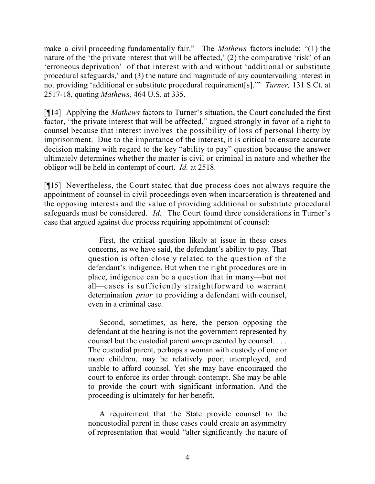make a civil proceeding fundamentally fair." The *Mathews* factors include: "(1) the nature of the 'the private interest that will be affected,' (2) the comparative 'risk' of an 'erroneous deprivation' of that interest with and without 'additional or substitute procedural safeguards,' and (3) the nature and magnitude of any countervailing interest in not providing 'additional or substitute procedural requirement[s].'" *Turner,* 131 S.Ct. at 2517-18, quoting *Mathews,* 464 U.S. at 335.

[¶14] Applying the *Mathews* factors to Turner's situation, the Court concluded the first factor, "the private interest that will be affected," argued strongly in favor of a right to counsel because that interest involves the possibility of loss of personal liberty by imprisonment. Due to the importance of the interest, it is critical to ensure accurate decision making with regard to the key "ability to pay" question because the answer ultimately determines whether the matter is civil or criminal in nature and whether the obligor will be held in contempt of court. *Id.* at 2518.

[¶15] Nevertheless, the Court stated that due process does not always require the appointment of counsel in civil proceedings even when incarceration is threatened and the opposing interests and the value of providing additional or substitute procedural safeguards must be considered. *Id.* The Court found three considerations in Turner's case that argued against due process requiring appointment of counsel:

> First, the critical question likely at issue in these cases concerns, as we have said, the defendant's ability to pay. That question is often closely related to the question of the defendant's indigence. But when the right procedures are in place, indigence can be a question that in many—but not all—cases is sufficiently straightforward to warrant determination *prior* to providing a defendant with counsel, even in a criminal case.

> Second, sometimes, as here, the person opposing the defendant at the hearing is not the government represented by counsel but the custodial parent *un*represented by counsel. . . . The custodial parent, perhaps a woman with custody of one or more children, may be relatively poor, unemployed, and unable to afford counsel. Yet she may have encouraged the court to enforce its order through contempt. She may be able to provide the court with significant information. And the proceeding is ultimately for her benefit.

> A requirement that the State provide counsel to the noncustodial parent in these cases could create an asymmetry of representation that would "alter significantly the nature of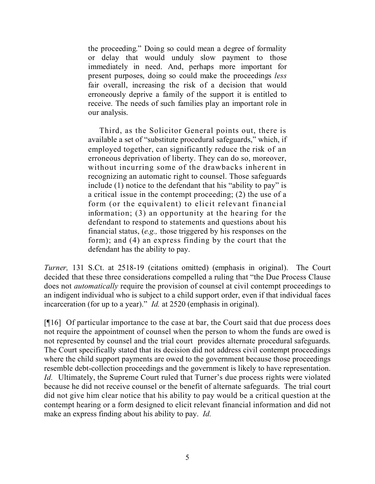the proceeding." Doing so could mean a degree of formality or delay that would unduly slow payment to those immediately in need. And, perhaps more important for present purposes, doing so could make the proceedings *less* fair overall, increasing the risk of a decision that would erroneously deprive a family of the support it is entitled to receive. The needs of such families play an important role in our analysis.

Third, as the Solicitor General points out, there is available a set of "substitute procedural safeguards," which, if employed together, can significantly reduce the risk of an erroneous deprivation of liberty. They can do so, moreover, without incurring some of the drawbacks inherent in recognizing an automatic right to counsel. Those safeguards include (1) notice to the defendant that his "ability to pay" is a critical issue in the contempt proceeding; (2) the use of a form (or the equivalent) to elicit relevant financial information; (3) an opportunity at the hearing for the defendant to respond to statements and questions about his financial status, (*e.g.,* those triggered by his responses on the form); and (4) an express finding by the court that the defendant has the ability to pay.

*Turner,* 131 S.Ct. at 2518-19 (citations omitted) (emphasis in original). The Court decided that these three considerations compelled a ruling that "the Due Process Clause does not *automatically* require the provision of counsel at civil contempt proceedings to an indigent individual who is subject to a child support order, even if that individual faces incarceration (for up to a year)." *Id.* at 2520 (emphasis in original).

[¶16] Of particular importance to the case at bar, the Court said that due process does not require the appointment of counsel when the person to whom the funds are owed is not represented by counsel and the trial court provides alternate procedural safeguards. The Court specifically stated that its decision did not address civil contempt proceedings where the child support payments are owed to the government because those proceedings resemble debt-collection proceedings and the government is likely to have representation. *Id.* Ultimately, the Supreme Court ruled that Turner's due process rights were violated because he did not receive counsel or the benefit of alternate safeguards. The trial court did not give him clear notice that his ability to pay would be a critical question at the contempt hearing or a form designed to elicit relevant financial information and did not make an express finding about his ability to pay. *Id.*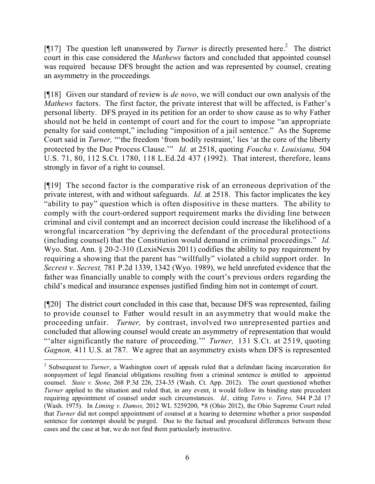[¶17] The question left unanswered by *Turner* is directly presented here.<sup>2</sup> The district court in this case considered the *Mathews* factors and concluded that appointed counsel was required because DFS brought the action and was represented by counsel, creating an asymmetry in the proceedings*.*

[¶18] Given our standard of review is *de novo*, we will conduct our own analysis of the *Mathews* factors. The first factor, the private interest that will be affected, is Father's personal liberty. DFS prayed in its petition for an order to show cause as to why Father should not be held in contempt of court and for the court to impose "an appropriate penalty for said contempt," including "imposition of a jail sentence." As the Supreme Court said in *Turner*, "the freedom 'from bodily restraint,' lies 'at the core of the liberty protected by the Due Process Clause.'" *Id.* at 2518, quoting *Foucha v. Louisiana,* 504 U.S. 71, 80, 112 S.Ct. 1780, 118 L.Ed.2d 437 (1992). That interest, therefore, leans strongly in favor of a right to counsel.

[¶19] The second factor is the comparative risk of an erroneous deprivation of the private interest, with and without safeguards. *Id.* at 2518. This factor implicates the key "ability to pay" question which is often dispositive in these matters. The ability to comply with the court-ordered support requirement marks the dividing line between criminal and civil contempt and an incorrect decision could increase the likelihood of a wrongful incarceration "by depriving the defendant of the procedural protections (including counsel) that the Constitution would demand in criminal proceedings." *Id.*  Wyo. Stat. Ann. § 20-2-310 (LexisNexis 2011) codifies the ability to pay requirement by requiring a showing that the parent has "willfully" violated a child support order. In *Secrest v. Secrest,* 781 P.2d 1339, 1342 (Wyo. 1989), we held unrefuted evidence that the father was financially unable to comply with the court's previous orders regarding the child's medical and insurance expenses justified finding him not in contempt of court.

[¶20] The district court concluded in this case that, because DFS was represented, failing to provide counsel to Father would result in an asymmetry that would make the proceeding unfair. *Turner,* by contrast, involved two unrepresented parties and concluded that allowing counsel would create an asymmetry of representation that would "'alter significantly the nature of proceeding.'" *Turner,* 131 S.Ct. at 2519, quoting *Gagnon,* 411 U.S. at 787. We agree that an asymmetry exists when DFS is represented

 $\overline{a}$ 

<sup>2</sup> Subsequent to *Turner*, a Washington court of appeals ruled that a defendant facing incarceration for nonpayment of legal financial obligations resulting from a criminal sentence is entitled to appointed counsel. *State v. Stone,* 268 P.3d 226, 234-35 (Wash. Ct. App. 2012). The court questioned whether *Turner* applied to the situation and ruled that, in any event, it would follow its binding state precedent requiring appointment of counsel under such circumstances. *Id.,* citing *Tetro v. Tetro,* 544 P.2d 17 (Wash. 1975). In *Liming v. Damos,* 2012 WL 5259200, \*8 (Ohio 2012), the Ohio Supreme Court ruled that *Turner* did not compel appointment of counsel at a hearing to determine whether a prior suspended sentence for contempt should be purged. Due to the factual and procedural differences between these cases and the case at bar, we do not find them particularly instructive.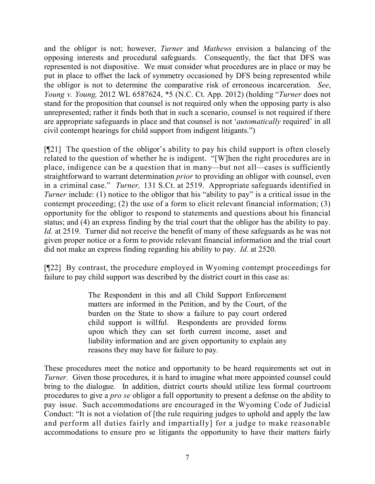and the obligor is not; however, *Turner* and *Mathews* envision a balancing of the opposing interests and procedural safeguards. Consequently, the fact that DFS was represented is not dispositive. We must consider what procedures are in place or may be put in place to offset the lack of symmetry occasioned by DFS being represented while the obligor is not to determine the comparative risk of erroneous incarceration. *See*, *Young v. Young,* 2012 WL 6587624, \*5 (N.C. Ct. App. 2012) (holding "*Turner* does not stand for the proposition that counsel is not required only when the opposing party is also unrepresented; rather it finds both that in such a scenario, counsel is not required if there are appropriate safeguards in place and that counsel is not '*automatically* required' in all civil contempt hearings for child support from indigent litigants.")

[¶21] The question of the obligor's ability to pay his child support is often closely related to the question of whether he is indigent. "[W]hen the right procedures are in place, indigence can be a question that in many—but not all—cases is sufficiently straightforward to warrant determination *prior* to providing an obligor with counsel, even in a criminal case." *Turner,* 131 S.Ct. at 2519. Appropriate safeguards identified in *Turner* include: (1) notice to the obligor that his "ability to pay" is a critical issue in the contempt proceeding; (2) the use of a form to elicit relevant financial information; (3) opportunity for the obligor to respond to statements and questions about his financial status; and (4) an express finding by the trial court that the obligor has the ability to pay. *Id.* at 2519. Turner did not receive the benefit of many of these safeguards as he was not given proper notice or a form to provide relevant financial information and the trial court did not make an express finding regarding his ability to pay. *Id.* at 2520.

[¶22] By contrast, the procedure employed in Wyoming contempt proceedings for failure to pay child support was described by the district court in this case as:

> The Respondent in this and all Child Support Enforcement matters are informed in the Petition, and by the Court, of the burden on the State to show a failure to pay court ordered child support is willful. Respondents are provided forms upon which they can set forth current income, asset and liability information and are given opportunity to explain any reasons they may have for failure to pay.

These procedures meet the notice and opportunity to be heard requirements set out in *Turner.* Given those procedures, it is hard to imagine what more appointed counsel could bring to the dialogue. In addition, district courts should utilize less formal courtroom procedures to give a *pro se* obligor a full opportunity to present a defense on the ability to pay issue. Such accommodations are encouraged in the Wyoming Code of Judicial Conduct: "It is not a violation of [the rule requiring judges to uphold and apply the law and perform all duties fairly and impartially] for a judge to make reasonable accommodations to ensure pro se litigants the opportunity to have their matters fairly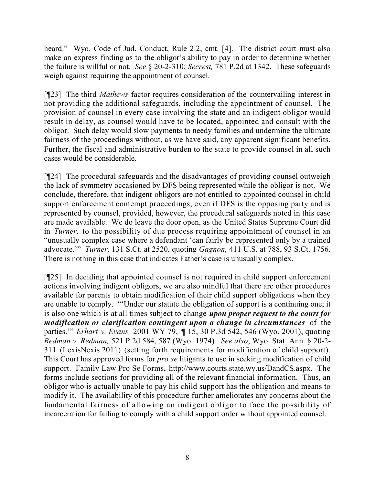heard." Wyo. Code of Jud. Conduct, Rule 2.2, cmt. [4]. The district court must also make an express finding as to the obligor's ability to pay in order to determine whether the failure is willful or not. *See* § 20-2-310; *Secrest,* 781 P.2d at 1342. These safeguards weigh against requiring the appointment of counsel.

[¶23] The third *Mathews* factor requires consideration of the countervailing interest in not providing the additional safeguards, including the appointment of counsel. The provision of counsel in every case involving the state and an indigent obligor would result in delay, as counsel would have to be located, appointed and consult with the obligor. Such delay would slow payments to needy families and undermine the ultimate fairness of the proceedings without, as we have said, any apparent significant benefits. Further, the fiscal and administrative burden to the state to provide counsel in all such cases would be considerable.

[¶24] The procedural safeguards and the disadvantages of providing counsel outweigh the lack of symmetry occasioned by DFS being represented while the obligor is not. We conclude, therefore, that indigent obligors are not entitled to appointed counsel in child support enforcement contempt proceedings, even if DFS is the opposing party and is represented by counsel, provided, however, the procedural safeguards noted in this case are made available. We do leave the door open, as the United States Supreme Court did in *Turner,* to the possibility of due process requiring appointment of counsel in an "unusually complex case where a defendant 'can fairly be represented only by a trained advocate.'" *Turner,* 131 S.Ct. at 2520, quoting *Gagnon,* 411 U.S. at 788, 93 S.Ct. 1756. There is nothing in this case that indicates Father's case is unusually complex.

[¶25] In deciding that appointed counsel is not required in child support enforcement actions involving indigent obligors, we are also mindful that there are other procedures available for parents to obtain modification of their child support obligations when they are unable to comply. "'Under our statute the obligation of support is a continuing one; it is also one which is at all times subject to change *upon proper request to the court for modification or clarification contingent upon a change in circumstances* of the parties.'" *Erhart v. Evans,* 2001 WY 79, *¶* 15, 30 P.3d 542, 546 (Wyo. 2001), quoting *Redman v. Redman,* 521 P.2d 584, 587 (Wyo. 1974). *See also*, Wyo. Stat. Ann. § 20-2- 311 (LexisNexis 2011) (setting forth requirements for modification of child support). This Court has approved forms for *pro se* litigants to use in seeking modification of child support. Family Law Pro Se Forms, http://www.courts.state.wy.us/DandCS.aspx. The forms include sections for providing all of the relevant financial information. Thus, an obligor who is actually unable to pay his child support has the obligation and means to modify it. The availability of this procedure further ameliorates any concerns about the fundamental fairness of allowing an indigent obligor to face the possibility of incarceration for failing to comply with a child support order without appointed counsel.